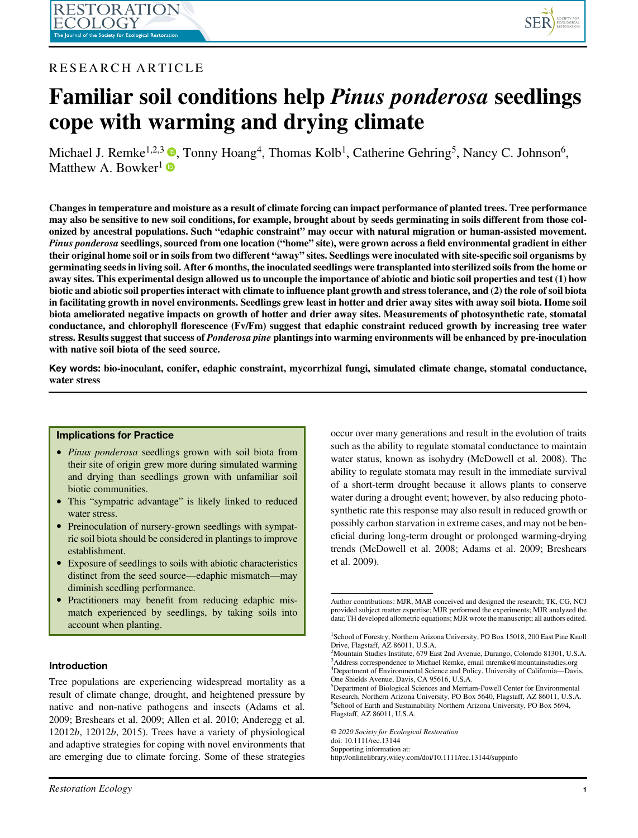

# RESEARCH ARTICLE

# Familiar soil conditions help Pinus ponderosa seedlings cope with warming and drying climate

Michael J. Remke<sup>1,2,3</sup>  $\bullet$ , Tonny Hoang<sup>4</sup>, Thomas Kolb<sup>1</sup>, Catherine Gehring<sup>5</sup>, Nancy C. Johnson<sup>6</sup>, Matthew A. Bowker<sup>1</sup>

Changes in temperature and moisture as a result of climate forcing can impact performance of planted trees. Tree performance may also be sensitive to new soil conditions, for example, brought about by seeds germinating in soils different from those colonized by ancestral populations. Such "edaphic constraint" may occur with natural migration or human-assisted movement. Pinus ponderosa seedlings, sourced from one location ("home" site), were grown across a field environmental gradient in either their original home soil or in soils from two different "away" sites. Seedlings were inoculated with site-specific soil organisms by germinating seeds in living soil. After 6 months, the inoculated seedlings were transplanted into sterilized soils from the home or away sites. This experimental design allowed us to uncouple the importance of abiotic and biotic soil properties and test (1) how biotic and abiotic soil properties interact with climate to influence plant growth and stress tolerance, and (2) the role of soil biota in facilitating growth in novel environments. Seedlings grew least in hotter and drier away sites with away soil biota. Home soil biota ameliorated negative impacts on growth of hotter and drier away sites. Measurements of photosynthetic rate, stomatal conductance, and chlorophyll florescence (Fv/Fm) suggest that edaphic constraint reduced growth by increasing tree water stress. Results suggest that success of Ponderosa pine plantings into warming environments will be enhanced by pre-inoculation with native soil biota of the seed source.

Key words: bio-inoculant, conifer, edaphic constraint, mycorrhizal fungi, simulated climate change, stomatal conductance, water stress

# Implications for Practice

- *Pinus ponderosa* seedlings grown with soil biota from their site of origin grew more during simulated warming and drying than seedlings grown with unfamiliar soil biotic communities.
- This "sympatric advantage" is likely linked to reduced water stress.
- Preinoculation of nursery-grown seedlings with sympatric soil biota should be considered in plantings to improve establishment.
- Exposure of seedlings to soils with abiotic characteristics distinct from the seed source—edaphic mismatch—may diminish seedling performance.
- Practitioners may benefit from reducing edaphic mismatch experienced by seedlings, by taking soils into account when planting.

# Introduction

Tree populations are experiencing widespread mortality as a result of climate change, drought, and heightened pressure by native and non-native pathogens and insects (Adams et al. 2009; Breshears et al. 2009; Allen et al. 2010; Anderegg et al. 12012b, 12012b, 2015). Trees have a variety of physiological and adaptive strategies for coping with novel environments that are emerging due to climate forcing. Some of these strategies occur over many generations and result in the evolution of traits such as the ability to regulate stomatal conductance to maintain water status, known as isohydry (McDowell et al. 2008). The ability to regulate stomata may result in the immediate survival of a short-term drought because it allows plants to conserve water during a drought event; however, by also reducing photosynthetic rate this response may also result in reduced growth or possibly carbon starvation in extreme cases, and may not be beneficial during long-term drought or prolonged warming-drying trends (McDowell et al. 2008; Adams et al. 2009; Breshears et al. 2009).

© 2020 Society for Ecological Restoration

doi: 10.1111/rec.13144

Supporting information at:

Author contributions: MJR, MAB conceived and designed the research; TK, CG, NCJ provided subject matter expertise; MJR performed the experiments; MJR analyzed the data; TH developed allometric equations; MJR wrote the manuscript; all authors edited.

<sup>&</sup>lt;sup>1</sup>School of Forestry, Northern Arizona University, PO Box 15018, 200 East Pine Knoll Drive, Flagstaff, AZ 86011, U.S.A.

<sup>&</sup>lt;sup>2</sup>Mountain Studies Institute, 679 East 2nd Avenue, Durango, Colorado 81301, U.S.A. 3 Address correspondence to Michael Remke, email [mremke@mountainstudies.org](mailto:mremke@mountainstudies.org) 4 Department of Environmental Science and Policy, University of California—Davis, One Shields Avenue, Davis, CA 95616, U.S.A.

<sup>5</sup> Department of Biological Sciences and Merriam-Powell Center for Environmental Research, Northern Arizona University, PO Box 5640, Flagstaff, AZ 86011, U.S.A. 6 School of Earth and Sustainability Northern Arizona University, PO Box 5694, Flagstaff, AZ 86011, U.S.A.

http://onlinelibrary.wiley.com/doi/10.1111/rec.13144/suppinfo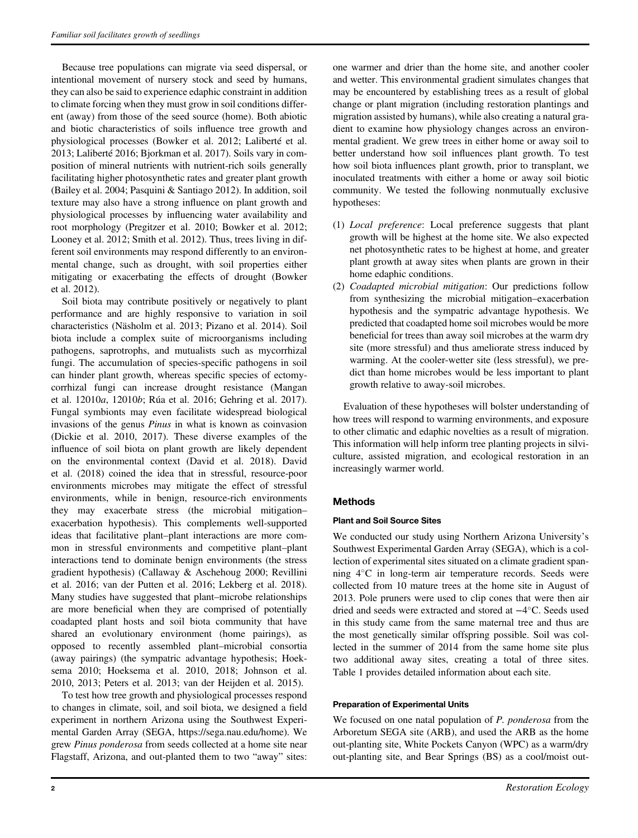Because tree populations can migrate via seed dispersal, or intentional movement of nursery stock and seed by humans, they can also be said to experience edaphic constraint in addition to climate forcing when they must grow in soil conditions different (away) from those of the seed source (home). Both abiotic and biotic characteristics of soils influence tree growth and physiological processes (Bowker et al. 2012; Laliberté et al. 2013; Laliberté 2016; Bjorkman et al. 2017). Soils vary in composition of mineral nutrients with nutrient-rich soils generally facilitating higher photosynthetic rates and greater plant growth (Bailey et al. 2004; Pasquini & Santiago 2012). In addition, soil texture may also have a strong influence on plant growth and physiological processes by influencing water availability and root morphology (Pregitzer et al. 2010; Bowker et al. 2012; Looney et al. 2012; Smith et al. 2012). Thus, trees living in different soil environments may respond differently to an environmental change, such as drought, with soil properties either mitigating or exacerbating the effects of drought (Bowker et al. 2012).

Soil biota may contribute positively or negatively to plant performance and are highly responsive to variation in soil characteristics (Näsholm et al. 2013; Pizano et al. 2014). Soil biota include a complex suite of microorganisms including pathogens, saprotrophs, and mutualists such as mycorrhizal fungi. The accumulation of species-specific pathogens in soil can hinder plant growth, whereas specific species of ectomycorrhizal fungi can increase drought resistance (Mangan et al. 12010a, 12010b; Rúa et al. 2016; Gehring et al. 2017). Fungal symbionts may even facilitate widespread biological invasions of the genus Pinus in what is known as coinvasion (Dickie et al. 2010, 2017). These diverse examples of the influence of soil biota on plant growth are likely dependent on the environmental context (David et al. 2018). David et al. (2018) coined the idea that in stressful, resource-poor environments microbes may mitigate the effect of stressful environments, while in benign, resource-rich environments they may exacerbate stress (the microbial mitigation– exacerbation hypothesis). This complements well-supported ideas that facilitative plant–plant interactions are more common in stressful environments and competitive plant–plant interactions tend to dominate benign environments (the stress gradient hypothesis) (Callaway & Aschehoug 2000; Revillini et al. 2016; van der Putten et al. 2016; Lekberg et al. 2018). Many studies have suggested that plant–microbe relationships are more beneficial when they are comprised of potentially coadapted plant hosts and soil biota community that have shared an evolutionary environment (home pairings), as opposed to recently assembled plant–microbial consortia (away pairings) (the sympatric advantage hypothesis; Hoeksema 2010; Hoeksema et al. 2010, 2018; Johnson et al. 2010, 2013; Peters et al. 2013; van der Heijden et al. 2015).

To test how tree growth and physiological processes respond to changes in climate, soil, and soil biota, we designed a field experiment in northern Arizona using the Southwest Experimental Garden Array (SEGA, [https://sega.nau.edu/home\)](https://sega.nau.edu/home). We grew Pinus ponderosa from seeds collected at a home site near Flagstaff, Arizona, and out-planted them to two "away" sites:

one warmer and drier than the home site, and another cooler and wetter. This environmental gradient simulates changes that may be encountered by establishing trees as a result of global change or plant migration (including restoration plantings and migration assisted by humans), while also creating a natural gradient to examine how physiology changes across an environmental gradient. We grew trees in either home or away soil to better understand how soil influences plant growth. To test how soil biota influences plant growth, prior to transplant, we inoculated treatments with either a home or away soil biotic community. We tested the following nonmutually exclusive hypotheses:

- (1) Local preference: Local preference suggests that plant growth will be highest at the home site. We also expected net photosynthetic rates to be highest at home, and greater plant growth at away sites when plants are grown in their home edaphic conditions.
- (2) Coadapted microbial mitigation: Our predictions follow from synthesizing the microbial mitigation–exacerbation hypothesis and the sympatric advantage hypothesis. We predicted that coadapted home soil microbes would be more beneficial for trees than away soil microbes at the warm dry site (more stressful) and thus ameliorate stress induced by warming. At the cooler-wetter site (less stressful), we predict than home microbes would be less important to plant growth relative to away-soil microbes.

Evaluation of these hypotheses will bolster understanding of how trees will respond to warming environments, and exposure to other climatic and edaphic novelties as a result of migration. This information will help inform tree planting projects in silviculture, assisted migration, and ecological restoration in an increasingly warmer world.

# Methods

# Plant and Soil Source Sites

We conducted our study using Northern Arizona University's Southwest Experimental Garden Array (SEGA), which is a collection of experimental sites situated on a climate gradient spanning 4°C in long-term air temperature records. Seeds were collected from 10 mature trees at the home site in August of 2013. Pole pruners were used to clip cones that were then air dried and seeds were extracted and stored at −4°C. Seeds used in this study came from the same maternal tree and thus are the most genetically similar offspring possible. Soil was collected in the summer of 2014 from the same home site plus two additional away sites, creating a total of three sites. Table 1 provides detailed information about each site.

# Preparation of Experimental Units

We focused on one natal population of *P. ponderosa* from the Arboretum SEGA site (ARB), and used the ARB as the home out-planting site, White Pockets Canyon (WPC) as a warm/dry out-planting site, and Bear Springs (BS) as a cool/moist out-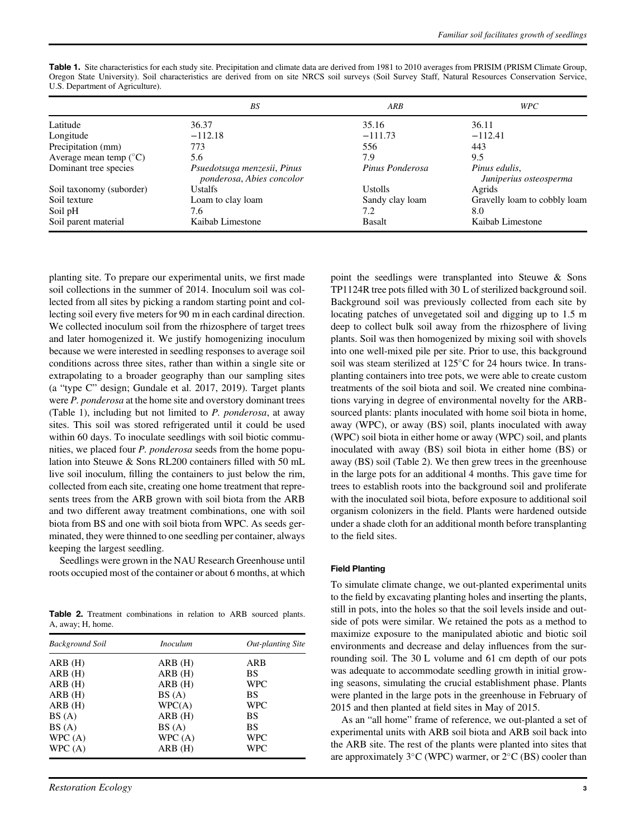| <b>Table 1.</b> Site characteristics for each study site. Precipitation and climate data are derived from 1981 to 2010 averages from PRISIM (PRISM Climate Group, |  |  |  |  |  |  |
|-------------------------------------------------------------------------------------------------------------------------------------------------------------------|--|--|--|--|--|--|
| Oregon State University). Soil characteristics are derived from on site NRCS soil surveys (Soil Survey Staff, Natural Resources Conservation Service,             |  |  |  |  |  |  |
| U.S. Department of Agriculture).                                                                                                                                  |  |  |  |  |  |  |

|                                 | BS                                                       | ARB             | <b>WPC</b>                              |
|---------------------------------|----------------------------------------------------------|-----------------|-----------------------------------------|
| Latitude                        | 36.37                                                    | 35.16           | 36.11                                   |
| Longitude                       | $-112.18$                                                | $-111.73$       | $-112.41$                               |
| Precipitation (mm)              | 773                                                      | 556             | 443                                     |
| Average mean temp $(^{\circ}C)$ | 5.6                                                      | 7.9             | 9.5                                     |
| Dominant tree species           | Psuedotsuga menzesii, Pinus<br>ponderosa, Abies concolor | Pinus Ponderosa | Pinus edulis,<br>Juniperius osteosperma |
| Soil taxonomy (suborder)        | Ustalfs                                                  | <b>Ustolls</b>  | Agrids                                  |
| Soil texture                    | Loam to clay loam                                        | Sandy clay loam | Gravelly loam to cobbly loam            |
| Soil pH                         | 7.6                                                      | 7.2             | 8.0                                     |
| Soil parent material            | Kaibab Limestone                                         | Basalt          | Kaibab Limestone                        |

planting site. To prepare our experimental units, we first made soil collections in the summer of 2014. Inoculum soil was collected from all sites by picking a random starting point and collecting soil every five meters for 90 m in each cardinal direction. We collected inoculum soil from the rhizosphere of target trees and later homogenized it. We justify homogenizing inoculum because we were interested in seedling responses to average soil conditions across three sites, rather than within a single site or extrapolating to a broader geography than our sampling sites (a "type C" design; Gundale et al. 2017, 2019). Target plants were P. ponderosa at the home site and overstory dominant trees (Table 1), including but not limited to P. ponderosa, at away sites. This soil was stored refrigerated until it could be used within 60 days. To inoculate seedlings with soil biotic communities, we placed four P. ponderosa seeds from the home population into Steuwe & Sons RL200 containers filled with 50 mL live soil inoculum, filling the containers to just below the rim, collected from each site, creating one home treatment that represents trees from the ARB grown with soil biota from the ARB and two different away treatment combinations, one with soil biota from BS and one with soil biota from WPC. As seeds germinated, they were thinned to one seedling per container, always keeping the largest seedling.

Seedlings were grown in the NAU Research Greenhouse until roots occupied most of the container or about 6 months, at which

Table 2. Treatment combinations in relation to ARB sourced plants. A, away; H, home.

| <b>Background Soil</b> | <i>Inoculum</i> | <b>Out-planting Site</b> |
|------------------------|-----------------|--------------------------|
| ARB(H)                 | ARB(H)          | ARB                      |
| ARB(H)                 | ARB(H)          | <b>BS</b>                |
| ARB(H)                 | ARB(H)          | <b>WPC</b>               |
| ARB(H)                 | BS(A)           | BS                       |
| ARB(H)                 | WPC(A)          | <b>WPC</b>               |
| BS(A)                  | ARB(H)          | BS                       |
| BS(A)                  | BS(A)           | BS                       |
| WPC(A)                 | WPC(A)          | <b>WPC</b>               |
| WPC(A)                 | ARB(H)          | <b>WPC</b>               |

point the seedlings were transplanted into Steuwe & Sons TP1124R tree pots filled with 30 L of sterilized background soil. Background soil was previously collected from each site by locating patches of unvegetated soil and digging up to 1.5 m deep to collect bulk soil away from the rhizosphere of living plants. Soil was then homogenized by mixing soil with shovels into one well-mixed pile per site. Prior to use, this background soil was steam sterilized at 125°C for 24 hours twice. In transplanting containers into tree pots, we were able to create custom treatments of the soil biota and soil. We created nine combinations varying in degree of environmental novelty for the ARBsourced plants: plants inoculated with home soil biota in home, away (WPC), or away (BS) soil, plants inoculated with away (WPC) soil biota in either home or away (WPC) soil, and plants inoculated with away (BS) soil biota in either home (BS) or away (BS) soil (Table 2). We then grew trees in the greenhouse in the large pots for an additional 4 months. This gave time for trees to establish roots into the background soil and proliferate with the inoculated soil biota, before exposure to additional soil organism colonizers in the field. Plants were hardened outside under a shade cloth for an additional month before transplanting to the field sites.

#### Field Planting

To simulate climate change, we out-planted experimental units to the field by excavating planting holes and inserting the plants, still in pots, into the holes so that the soil levels inside and outside of pots were similar. We retained the pots as a method to maximize exposure to the manipulated abiotic and biotic soil environments and decrease and delay influences from the surrounding soil. The 30 L volume and 61 cm depth of our pots was adequate to accommodate seedling growth in initial growing seasons, simulating the crucial establishment phase. Plants were planted in the large pots in the greenhouse in February of 2015 and then planted at field sites in May of 2015.

As an "all home" frame of reference, we out-planted a set of experimental units with ARB soil biota and ARB soil back into the ARB site. The rest of the plants were planted into sites that are approximately  $3^{\circ}$ C (WPC) warmer, or  $2^{\circ}$ C (BS) cooler than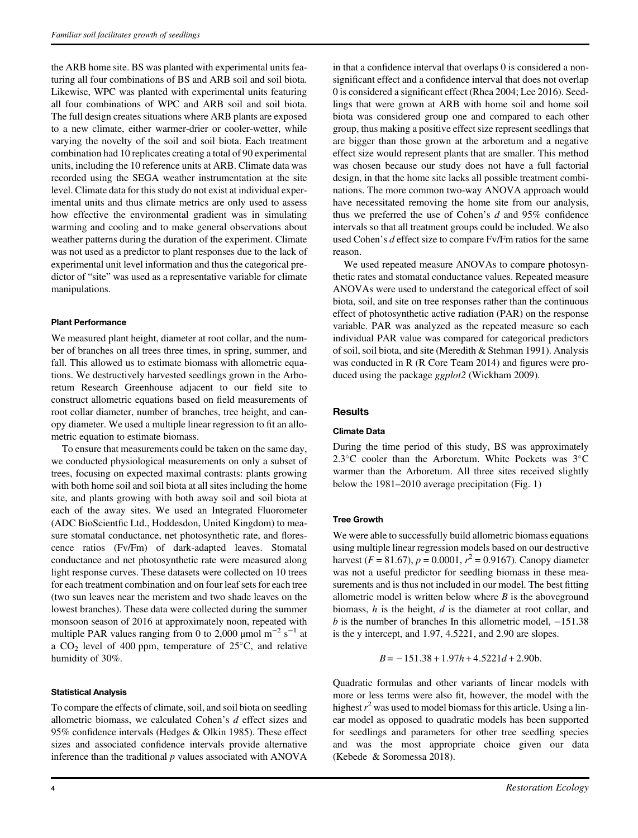the ARB home site. BS was planted with experimental units featuring all four combinations of BS and ARB soil and soil biota. Likewise, WPC was planted with experimental units featuring all four combinations of WPC and ARB soil and soil biota. The full design creates situations where ARB plants are exposed to a new climate, either warmer-drier or cooler-wetter, while varying the novelty of the soil and soil biota. Each treatment combination had 10 replicates creating a total of 90 experimental units, including the 10 reference units at ARB. Climate data was recorded using the SEGA weather instrumentation at the site level. Climate data for this study do not exist at individual experimental units and thus climate metrics are only used to assess how effective the environmental gradient was in simulating warming and cooling and to make general observations about weather patterns during the duration of the experiment. Climate was not used as a predictor to plant responses due to the lack of experimental unit level information and thus the categorical predictor of "site" was used as a representative variable for climate manipulations.

#### Plant Performance

We measured plant height, diameter at root collar, and the number of branches on all trees three times, in spring, summer, and fall. This allowed us to estimate biomass with allometric equations. We destructively harvested seedlings grown in the Arboretum Research Greenhouse adjacent to our field site to construct allometric equations based on field measurements of root collar diameter, number of branches, tree height, and canopy diameter. We used a multiple linear regression to fit an allometric equation to estimate biomass.

To ensure that measurements could be taken on the same day, we conducted physiological measurements on only a subset of trees, focusing on expected maximal contrasts: plants growing with both home soil and soil biota at all sites including the home site, and plants growing with both away soil and soil biota at each of the away sites. We used an Integrated Fluorometer (ADC BioScientfic Ltd., Hoddesdon, United Kingdom) to measure stomatal conductance, net photosynthetic rate, and florescence ratios (Fv/Fm) of dark-adapted leaves. Stomatal conductance and net photosynthetic rate were measured along light response curves. These datasets were collected on 10 trees for each treatment combination and on four leaf sets for each tree (two sun leaves near the meristem and two shade leaves on the lowest branches). These data were collected during the summer monsoon season of 2016 at approximately noon, repeated with multiple PAR values ranging from 0 to 2,000  $\mu$ mol m<sup>-2</sup> s<sup>-1</sup> at a  $CO<sub>2</sub>$  level of 400 ppm, temperature of 25 $^{\circ}$ C, and relative humidity of 30%.

#### Statistical Analysis

To compare the effects of climate, soil, and soil biota on seedling allometric biomass, we calculated Cohen's d effect sizes and 95% confidence intervals (Hedges & Olkin 1985). These effect sizes and associated confidence intervals provide alternative inference than the traditional  $p$  values associated with ANOVA

in that a confidence interval that overlaps 0 is considered a nonsignificant effect and a confidence interval that does not overlap 0 is considered a significant effect (Rhea 2004; Lee 2016). Seedlings that were grown at ARB with home soil and home soil biota was considered group one and compared to each other group, thus making a positive effect size represent seedlings that are bigger than those grown at the arboretum and a negative effect size would represent plants that are smaller. This method was chosen because our study does not have a full factorial design, in that the home site lacks all possible treatment combinations. The more common two-way ANOVA approach would have necessitated removing the home site from our analysis, thus we preferred the use of Cohen's d and 95% confidence intervals so that all treatment groups could be included. We also used Cohen's d effect size to compare Fv/Fm ratios for the same reason.

We used repeated measure ANOVAs to compare photosynthetic rates and stomatal conductance values. Repeated measure ANOVAs were used to understand the categorical effect of soil biota, soil, and site on tree responses rather than the continuous effect of photosynthetic active radiation (PAR) on the response variable. PAR was analyzed as the repeated measure so each individual PAR value was compared for categorical predictors of soil, soil biota, and site (Meredith & Stehman 1991). Analysis was conducted in R (R Core Team 2014) and figures were produced using the package ggplot2 (Wickham 2009).

#### **Results**

# Climate Data

During the time period of this study, BS was approximately 2.3°C cooler than the Arboretum. White Pockets was  $3^{\circ}$ C warmer than the Arboretum. All three sites received slightly below the 1981–2010 average precipitation (Fig. 1)

#### Tree Growth

We were able to successfully build allometric biomass equations using multiple linear regression models based on our destructive harvest ( $F = 81.67$ ),  $p = 0.0001$ ,  $r^2 = 0.9167$ ). Canopy diameter was not a useful predictor for seedling biomass in these measurements and is thus not included in our model. The best fitting allometric model is written below where  $B$  is the above ground biomass, h is the height, d is the diameter at root collar, and b is the number of branches In this allometric model, −151.38 is the y intercept, and 1.97, 4.5221, and 2.90 are slopes.

$$
B = -151.38 + 1.97h + 4.5221d + 2.90b.
$$

Quadratic formulas and other variants of linear models with more or less terms were also fit, however, the model with the highest  $r^2$  was used to model biomass for this article. Using a linear model as opposed to quadratic models has been supported for seedlings and parameters for other tree seedling species and was the most appropriate choice given our data (Kebede & Soromessa 2018).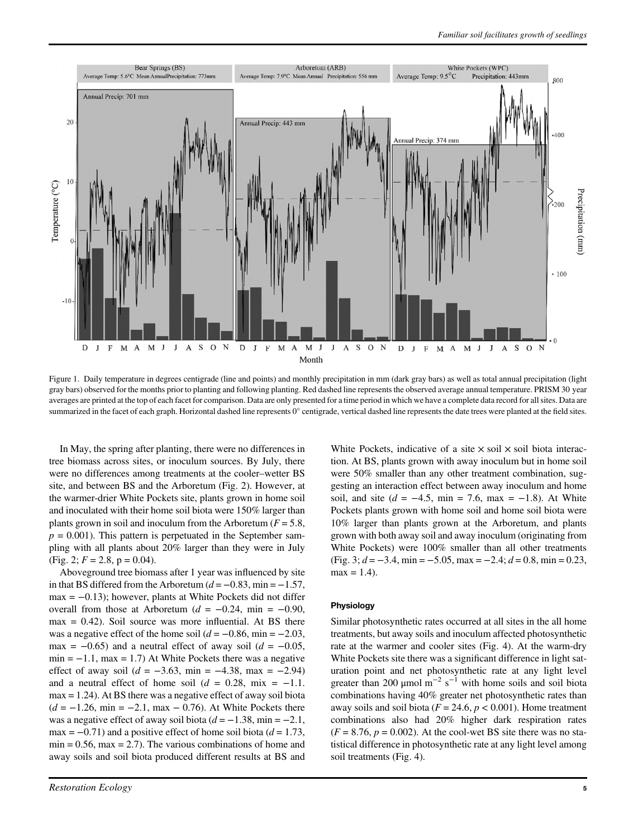

Figure 1. Daily temperature in degrees centigrade (line and points) and monthly precipitation in mm (dark gray bars) as well as total annual precipitation (light gray bars) observed for the months prior to planting and following planting. Red dashed line represents the observed average annual temperature. PRISM 30 year averages are printed at the top of each facet for comparison. Data are only presented for a time period in which we have a complete data record for all sites. Data are summarized in the facet of each graph. Horizontal dashed line represents 0° centigrade, vertical dashed line represents the date trees were planted at the field sites.

In May, the spring after planting, there were no differences in tree biomass across sites, or inoculum sources. By July, there were no differences among treatments at the cooler–wetter BS site, and between BS and the Arboretum (Fig. 2). However, at the warmer-drier White Pockets site, plants grown in home soil and inoculated with their home soil biota were 150% larger than plants grown in soil and inoculum from the Arboretum  $(F = 5.8$ ,  $p = 0.001$ ). This pattern is perpetuated in the September sampling with all plants about 20% larger than they were in July (Fig. 2;  $F = 2.8$ , p = 0.04).

Aboveground tree biomass after 1 year was influenced by site in that BS differed from the Arboretum  $(d = -0.83, \text{min} = -1.57,$  $max = -0.13$ ; however, plants at White Pockets did not differ overall from those at Arboretum ( $d = -0.24$ , min = -0.90,  $max = 0.42$ ). Soil source was more influential. At BS there was a negative effect of the home soil  $(d = -0.86, \text{min} = -2.03,$ max =  $-0.65$ ) and a neutral effect of away soil ( $d = -0.05$ ,  $min = -1.1$ , max = 1.7) At White Pockets there was a negative effect of away soil ( $d = -3.63$ , min =  $-4.38$ , max =  $-2.94$ ) and a neutral effect of home soil  $(d = 0.28, \text{ mix } = -1.1$ . max = 1.24). At BS there was a negative effect of away soil biota  $(d = -1.26, \text{ min} = -2.1, \text{ max} - 0.76)$ . At White Pockets there was a negative effect of away soil biota ( $d = -1.38$ , min =  $-2.1$ , max =  $-0.71$ ) and a positive effect of home soil biota ( $d = 1.73$ ,  $min = 0.56$ ,  $max = 2.7$ ). The various combinations of home and away soils and soil biota produced different results at BS and White Pockets, indicative of a site  $\times$  soil  $\times$  soil biota interaction. At BS, plants grown with away inoculum but in home soil were 50% smaller than any other treatment combination, suggesting an interaction effect between away inoculum and home soil, and site ( $d = -4.5$ , min = 7.6, max = -1.8). At White Pockets plants grown with home soil and home soil biota were 10% larger than plants grown at the Arboretum, and plants grown with both away soil and away inoculum (originating from White Pockets) were 100% smaller than all other treatments (Fig. 3;  $d = -3.4$ , min =  $-5.05$ , max =  $-2.4$ ;  $d = 0.8$ , min = 0.23,  $max = 1.4$ .

#### Physiology

Similar photosynthetic rates occurred at all sites in the all home treatments, but away soils and inoculum affected photosynthetic rate at the warmer and cooler sites (Fig. 4). At the warm-dry White Pockets site there was a significant difference in light saturation point and net photosynthetic rate at any light level greater than 200 µmol  $m^{-2}$  s<sup>-1</sup> with home soils and soil biota combinations having 40% greater net photosynthetic rates than away soils and soil biota ( $F = 24.6$ ,  $p < 0.001$ ). Home treatment combinations also had 20% higher dark respiration rates  $(F = 8.76, p = 0.002)$ . At the cool-wet BS site there was no statistical difference in photosynthetic rate at any light level among soil treatments (Fig. 4).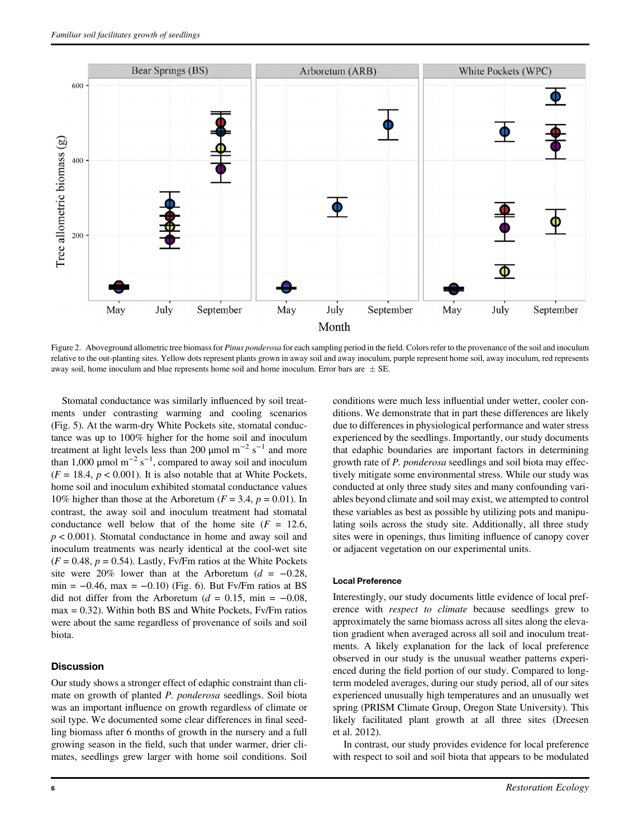

Figure 2. Aboveground allometric tree biomass for Pinus ponderosa for each sampling period in the field. Colors refer to the provenance of the soil and inoculum relative to the out-planting sites. Yellow dots represent plants grown in away soil and away inoculum, purple represent home soil, away inoculum, red represents away soil, home inoculum and blue represents home soil and home inoculum. Error bars are  $\pm$  SE.

Stomatal conductance was similarly influenced by soil treatments under contrasting warming and cooling scenarios (Fig. 5). At the warm-dry White Pockets site, stomatal conductance was up to 100% higher for the home soil and inoculum treatment at light levels less than 200 µmol  $m^{-2}$  s<sup>-1</sup> and more than 1,000  $\mu$ mol m<sup>-2</sup> s<sup>-1</sup>, compared to away soil and inoculum  $(F = 18.4, p < 0.001)$ . It is also notable that at White Pockets, home soil and inoculum exhibited stomatal conductance values 10% higher than those at the Arboretum ( $F = 3.4$ ,  $p = 0.01$ ). In contrast, the away soil and inoculum treatment had stomatal conductance well below that of the home site  $(F = 12.6$ ,  $p < 0.001$ ). Stomatal conductance in home and away soil and inoculum treatments was nearly identical at the cool-wet site  $(F = 0.48, p = 0.54)$ . Lastly, Fv/Fm ratios at the White Pockets site were 20% lower than at the Arboretum ( $d = -0.28$ , min =  $-0.46$ , max =  $-0.10$ ) (Fig. 6). But Fv/Fm ratios at BS did not differ from the Arboretum ( $d = 0.15$ , min = -0.08,  $max = 0.32$ ). Within both BS and White Pockets, Fv/Fm ratios were about the same regardless of provenance of soils and soil biota.

#### **Discussion**

Our study shows a stronger effect of edaphic constraint than climate on growth of planted P. ponderosa seedlings. Soil biota was an important influence on growth regardless of climate or soil type. We documented some clear differences in final seedling biomass after 6 months of growth in the nursery and a full growing season in the field, such that under warmer, drier climates, seedlings grew larger with home soil conditions. Soil conditions were much less influential under wetter, cooler conditions. We demonstrate that in part these differences are likely due to differences in physiological performance and water stress experienced by the seedlings. Importantly, our study documents that edaphic boundaries are important factors in determining growth rate of P. ponderosa seedlings and soil biota may effectively mitigate some environmental stress. While our study was conducted at only three study sites and many confounding variables beyond climate and soil may exist, we attempted to control these variables as best as possible by utilizing pots and manipulating soils across the study site. Additionally, all three study sites were in openings, thus limiting influence of canopy cover or adjacent vegetation on our experimental units.

#### Local Preference

Interestingly, our study documents little evidence of local preference with respect to climate because seedlings grew to approximately the same biomass across all sites along the elevation gradient when averaged across all soil and inoculum treatments. A likely explanation for the lack of local preference observed in our study is the unusual weather patterns experienced during the field portion of our study. Compared to longterm modeled averages, during our study period, all of our sites experienced unusually high temperatures and an unusually wet spring (PRISM Climate Group, Oregon State University). This likely facilitated plant growth at all three sites (Dreesen et al. 2012).

In contrast, our study provides evidence for local preference with respect to soil and soil biota that appears to be modulated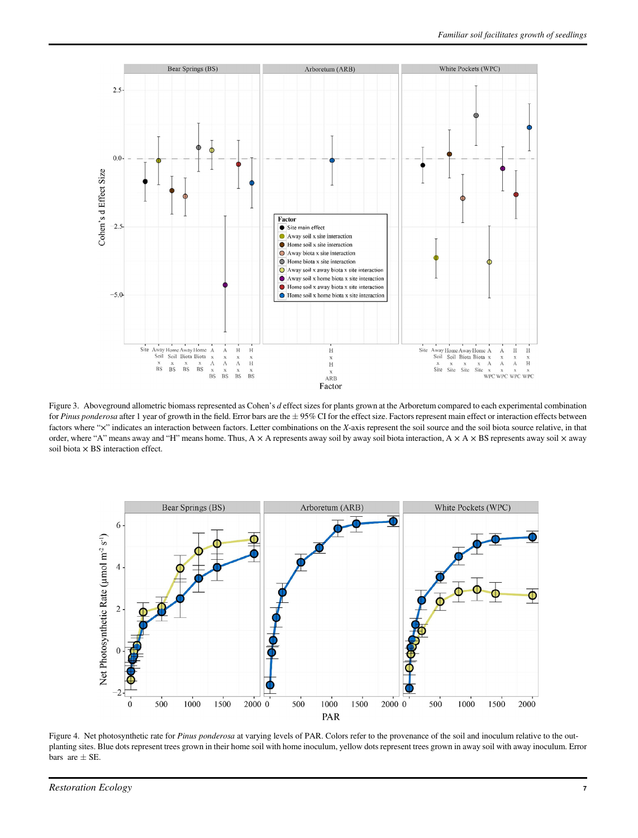

Figure 3. Aboveground allometric biomass represented as Cohen's d effect sizes for plants grown at the Arboretum compared to each experimental combination for Pinus ponderosa after 1 year of growth in the field. Error bars are the  $\pm$  95% CI for the effect size. Factors represent main effect or interaction effects between factors where "x" indicates an interaction between factors. Letter combinations on the X-axis represent the soil source and the soil biota source relative, in that order, where "A" means away and "H" means home. Thus,  $A \times A$  represents away soil by away soil biota interaction,  $A \times A \times BS$  represents away soil  $\times$  away soil biota  $\times$  BS interaction effect.



Figure 4. Net photosynthetic rate for Pinus ponderosa at varying levels of PAR. Colors refer to the provenance of the soil and inoculum relative to the outplanting sites. Blue dots represent trees grown in their home soil with home inoculum, yellow dots represent trees grown in away soil with away inoculum. Error bars are  $\pm$  SE.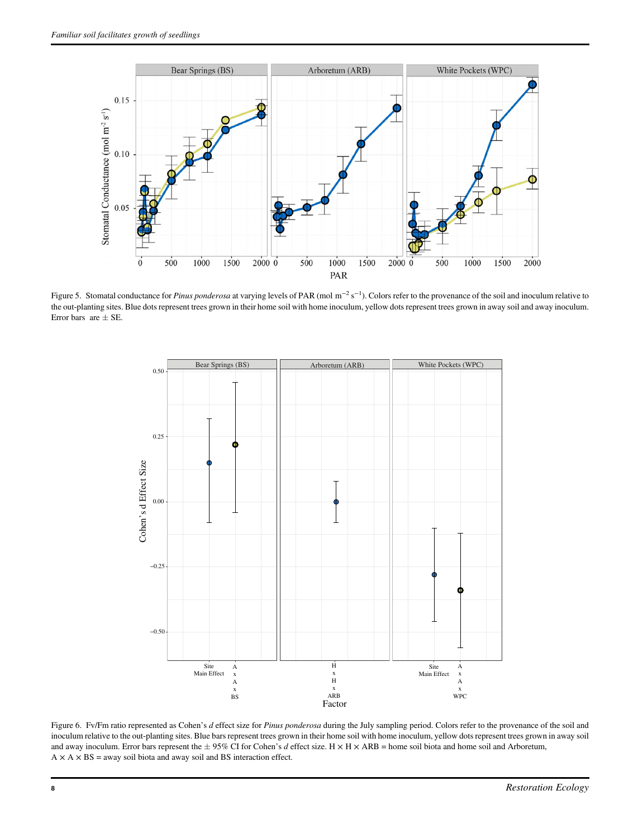

Figure 5. Stomatal conductance for *Pinus ponderosa* at varying levels of PAR (mol  $m^{-2} s^{-1}$ ). Colors refer to the provenance of the soil and inoculum relative to the out-planting sites. Blue dots represent trees grown in their home soil with home inoculum, yellow dots represent trees grown in away soil and away inoculum. Error bars are  $\pm$  SE.



Figure 6. Fv/Fm ratio represented as Cohen's d effect size for Pinus ponderosa during the July sampling period. Colors refer to the provenance of the soil and inoculum relative to the out-planting sites. Blue bars represent trees grown in their home soil with home inoculum, yellow dots represent trees grown in away soil and away inoculum. Error bars represent the  $\pm$  95% CI for Cohen's d effect size. H  $\times$  H  $\times$  ARB = home soil biota and home soil and Arboretum,  $A \times A \times BS$  = away soil biota and away soil and BS interaction effect.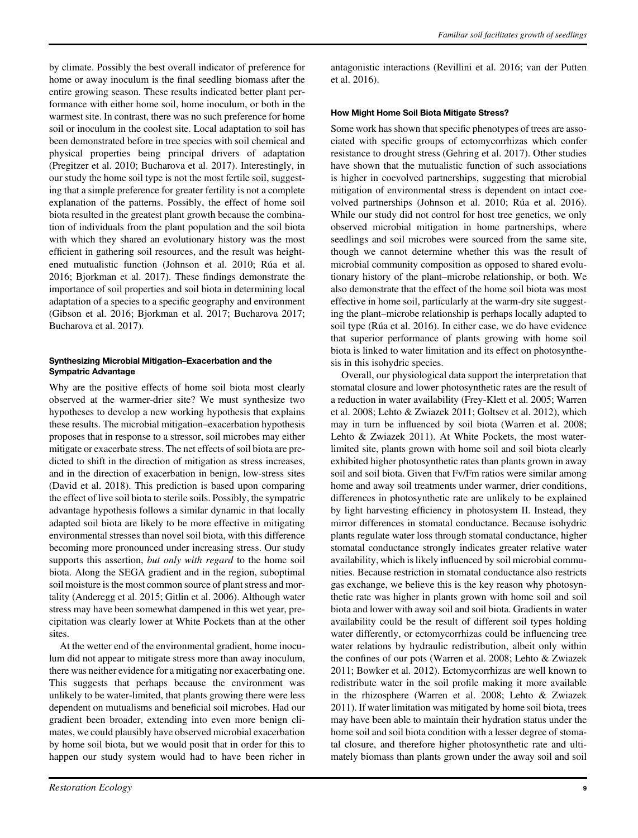by climate. Possibly the best overall indicator of preference for home or away inoculum is the final seedling biomass after the entire growing season. These results indicated better plant performance with either home soil, home inoculum, or both in the warmest site. In contrast, there was no such preference for home soil or inoculum in the coolest site. Local adaptation to soil has been demonstrated before in tree species with soil chemical and physical properties being principal drivers of adaptation (Pregitzer et al. 2010; Bucharova et al. 2017). Interestingly, in our study the home soil type is not the most fertile soil, suggesting that a simple preference for greater fertility is not a complete explanation of the patterns. Possibly, the effect of home soil biota resulted in the greatest plant growth because the combination of individuals from the plant population and the soil biota with which they shared an evolutionary history was the most efficient in gathering soil resources, and the result was heightened mutualistic function (Johnson et al. 2010; Rúa et al. 2016; Bjorkman et al. 2017). These findings demonstrate the importance of soil properties and soil biota in determining local adaptation of a species to a specific geography and environment (Gibson et al. 2016; Bjorkman et al. 2017; Bucharova 2017; Bucharova et al. 2017).

#### Synthesizing Microbial Mitigation–Exacerbation and the Sympatric Advantage

Why are the positive effects of home soil biota most clearly observed at the warmer-drier site? We must synthesize two hypotheses to develop a new working hypothesis that explains these results. The microbial mitigation–exacerbation hypothesis proposes that in response to a stressor, soil microbes may either mitigate or exacerbate stress. The net effects of soil biota are predicted to shift in the direction of mitigation as stress increases, and in the direction of exacerbation in benign, low-stress sites (David et al. 2018). This prediction is based upon comparing the effect of live soil biota to sterile soils. Possibly, the sympatric advantage hypothesis follows a similar dynamic in that locally adapted soil biota are likely to be more effective in mitigating environmental stresses than novel soil biota, with this difference becoming more pronounced under increasing stress. Our study supports this assertion, but only with regard to the home soil biota. Along the SEGA gradient and in the region, suboptimal soil moisture is the most common source of plant stress and mortality (Anderegg et al. 2015; Gitlin et al. 2006). Although water stress may have been somewhat dampened in this wet year, precipitation was clearly lower at White Pockets than at the other sites.

At the wetter end of the environmental gradient, home inoculum did not appear to mitigate stress more than away inoculum, there was neither evidence for a mitigating nor exacerbating one. This suggests that perhaps because the environment was unlikely to be water-limited, that plants growing there were less dependent on mutualisms and beneficial soil microbes. Had our gradient been broader, extending into even more benign climates, we could plausibly have observed microbial exacerbation by home soil biota, but we would posit that in order for this to happen our study system would had to have been richer in antagonistic interactions (Revillini et al. 2016; van der Putten et al. 2016).

# How Might Home Soil Biota Mitigate Stress?

Some work has shown that specific phenotypes of trees are associated with specific groups of ectomycorrhizas which confer resistance to drought stress (Gehring et al. 2017). Other studies have shown that the mutualistic function of such associations is higher in coevolved partnerships, suggesting that microbial mitigation of environmental stress is dependent on intact coevolved partnerships (Johnson et al. 2010; Rúa et al. 2016). While our study did not control for host tree genetics, we only observed microbial mitigation in home partnerships, where seedlings and soil microbes were sourced from the same site, though we cannot determine whether this was the result of microbial community composition as opposed to shared evolutionary history of the plant–microbe relationship, or both. We also demonstrate that the effect of the home soil biota was most effective in home soil, particularly at the warm-dry site suggesting the plant–microbe relationship is perhaps locally adapted to soil type (Rúa et al. 2016). In either case, we do have evidence that superior performance of plants growing with home soil biota is linked to water limitation and its effect on photosynthesis in this isohydric species.

Overall, our physiological data support the interpretation that stomatal closure and lower photosynthetic rates are the result of a reduction in water availability (Frey-Klett et al. 2005; Warren et al. 2008; Lehto & Zwiazek 2011; Goltsev et al. 2012), which may in turn be influenced by soil biota (Warren et al. 2008; Lehto & Zwiazek 2011). At White Pockets, the most waterlimited site, plants grown with home soil and soil biota clearly exhibited higher photosynthetic rates than plants grown in away soil and soil biota. Given that Fv/Fm ratios were similar among home and away soil treatments under warmer, drier conditions, differences in photosynthetic rate are unlikely to be explained by light harvesting efficiency in photosystem II. Instead, they mirror differences in stomatal conductance. Because isohydric plants regulate water loss through stomatal conductance, higher stomatal conductance strongly indicates greater relative water availability, which is likely influenced by soil microbial communities. Because restriction in stomatal conductance also restricts gas exchange, we believe this is the key reason why photosynthetic rate was higher in plants grown with home soil and soil biota and lower with away soil and soil biota. Gradients in water availability could be the result of different soil types holding water differently, or ectomycorrhizas could be influencing tree water relations by hydraulic redistribution, albeit only within the confines of our pots (Warren et al. 2008; Lehto & Zwiazek 2011; Bowker et al. 2012). Ectomycorrhizas are well known to redistribute water in the soil profile making it more available in the rhizosphere (Warren et al. 2008; Lehto & Zwiazek 2011). If water limitation was mitigated by home soil biota, trees may have been able to maintain their hydration status under the home soil and soil biota condition with a lesser degree of stomatal closure, and therefore higher photosynthetic rate and ultimately biomass than plants grown under the away soil and soil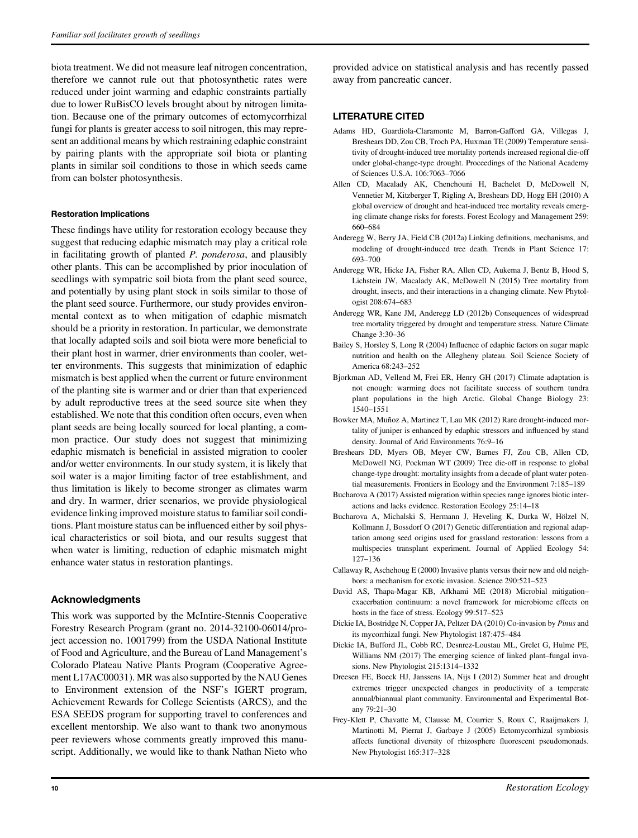biota treatment. We did not measure leaf nitrogen concentration, therefore we cannot rule out that photosynthetic rates were reduced under joint warming and edaphic constraints partially due to lower RuBisCO levels brought about by nitrogen limitation. Because one of the primary outcomes of ectomycorrhizal fungi for plants is greater access to soil nitrogen, this may represent an additional means by which restraining edaphic constraint by pairing plants with the appropriate soil biota or planting plants in similar soil conditions to those in which seeds came from can bolster photosynthesis.

# Restoration Implications

These findings have utility for restoration ecology because they suggest that reducing edaphic mismatch may play a critical role in facilitating growth of planted P. ponderosa, and plausibly other plants. This can be accomplished by prior inoculation of seedlings with sympatric soil biota from the plant seed source, and potentially by using plant stock in soils similar to those of the plant seed source. Furthermore, our study provides environmental context as to when mitigation of edaphic mismatch should be a priority in restoration. In particular, we demonstrate that locally adapted soils and soil biota were more beneficial to their plant host in warmer, drier environments than cooler, wetter environments. This suggests that minimization of edaphic mismatch is best applied when the current or future environment of the planting site is warmer and or drier than that experienced by adult reproductive trees at the seed source site when they established. We note that this condition often occurs, even when plant seeds are being locally sourced for local planting, a common practice. Our study does not suggest that minimizing edaphic mismatch is beneficial in assisted migration to cooler and/or wetter environments. In our study system, it is likely that soil water is a major limiting factor of tree establishment, and thus limitation is likely to become stronger as climates warm and dry. In warmer, drier scenarios, we provide physiological evidence linking improved moisture status to familiar soil conditions. Plant moisture status can be influenced either by soil physical characteristics or soil biota, and our results suggest that when water is limiting, reduction of edaphic mismatch might enhance water status in restoration plantings.

# Acknowledgments

This work was supported by the McIntire-Stennis Cooperative Forestry Research Program (grant no. 2014-32100-06014/project accession no. 1001799) from the USDA National Institute of Food and Agriculture, and the Bureau of Land Management's Colorado Plateau Native Plants Program (Cooperative Agreement L17AC00031). MR was also supported by the NAU Genes to Environment extension of the NSF's IGERT program, Achievement Rewards for College Scientists (ARCS), and the ESA SEEDS program for supporting travel to conferences and excellent mentorship. We also want to thank two anonymous peer reviewers whose comments greatly improved this manuscript. Additionally, we would like to thank Nathan Nieto who

provided advice on statistical analysis and has recently passed away from pancreatic cancer.

# LITERATURE CITED

- Adams HD, Guardiola-Claramonte M, Barron-Gafford GA, Villegas J, Breshears DD, Zou CB, Troch PA, Huxman TE (2009) Temperature sensitivity of drought-induced tree mortality portends increased regional die-off under global-change-type drought. Proceedings of the National Academy of Sciences U.S.A. 106:7063–7066
- Allen CD, Macalady AK, Chenchouni H, Bachelet D, McDowell N, Vennetier M, Kitzberger T, Rigling A, Breshears DD, Hogg EH (2010) A global overview of drought and heat-induced tree mortality reveals emerging climate change risks for forests. Forest Ecology and Management 259: 660–684
- Anderegg W, Berry JA, Field CB (2012a) Linking definitions, mechanisms, and modeling of drought-induced tree death. Trends in Plant Science 17: 693–700
- Anderegg WR, Hicke JA, Fisher RA, Allen CD, Aukema J, Bentz B, Hood S, Lichstein JW, Macalady AK, McDowell N (2015) Tree mortality from drought, insects, and their interactions in a changing climate. New Phytologist 208:674–683
- Anderegg WR, Kane JM, Anderegg LD (2012b) Consequences of widespread tree mortality triggered by drought and temperature stress. Nature Climate Change 3:30–36
- Bailey S, Horsley S, Long R (2004) Influence of edaphic factors on sugar maple nutrition and health on the Allegheny plateau. Soil Science Society of America 68:243–252
- Bjorkman AD, Vellend M, Frei ER, Henry GH (2017) Climate adaptation is not enough: warming does not facilitate success of southern tundra plant populations in the high Arctic. Global Change Biology 23: 1540–1551
- Bowker MA, Muñoz A, Martinez T, Lau MK (2012) Rare drought-induced mortality of juniper is enhanced by edaphic stressors and influenced by stand density. Journal of Arid Environments 76:9–16
- Breshears DD, Myers OB, Meyer CW, Barnes FJ, Zou CB, Allen CD, McDowell NG, Pockman WT (2009) Tree die-off in response to global change-type drought: mortality insights from a decade of plant water potential measurements. Frontiers in Ecology and the Environment 7:185–189
- Bucharova A (2017) Assisted migration within species range ignores biotic interactions and lacks evidence. Restoration Ecology 25:14–18
- Bucharova A, Michalski S, Hermann J, Heveling K, Durka W, Hölzel N, Kollmann J, Bossdorf O (2017) Genetic differentiation and regional adaptation among seed origins used for grassland restoration: lessons from a multispecies transplant experiment. Journal of Applied Ecology 54: 127–136
- Callaway R, Aschehoug E (2000) Invasive plants versus their new and old neighbors: a mechanism for exotic invasion. Science 290:521–523
- David AS, Thapa-Magar KB, Afkhami ME (2018) Microbial mitigation– exacerbation continuum: a novel framework for microbiome effects on hosts in the face of stress. Ecology 99:517–523
- Dickie IA, Bostridge N, Copper JA, Peltzer DA (2010) Co-invasion by Pinus and its mycorrhizal fungi. New Phytologist 187:475–484
- Dickie IA, Bufford JL, Cobb RC, Desnrez-Loustau ML, Grelet G, Hulme PE, Williams NM (2017) The emerging science of linked plant–fungal invasions. New Phytologist 215:1314–1332
- Dreesen FE, Boeck HJ, Janssens IA, Nijs I (2012) Summer heat and drought extremes trigger unexpected changes in productivity of a temperate annual/biannual plant community. Environmental and Experimental Botany 79:21–30
- Frey-Klett P, Chavatte M, Clausse M, Courrier S, Roux C, Raaijmakers J, Martinotti M, Pierrat J, Garbaye J (2005) Ectomycorrhizal symbiosis affects functional diversity of rhizosphere fluorescent pseudomonads. New Phytologist 165:317–328